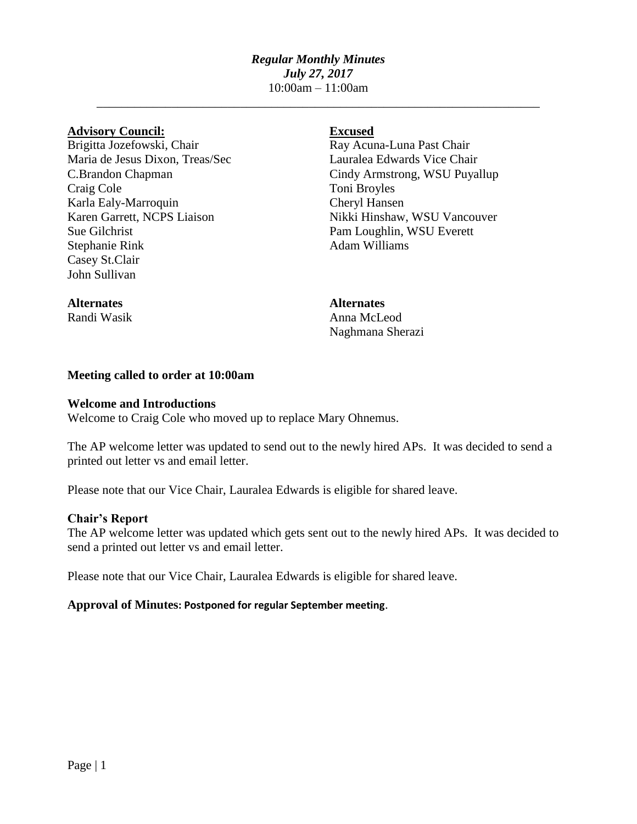# *Regular Monthly Minutes July 27, 2017* 10:00am – 11:00am

\_\_\_\_\_\_\_\_\_\_\_\_\_\_\_\_\_\_\_\_\_\_\_\_\_\_\_\_\_\_\_\_\_\_\_\_\_\_\_\_\_\_\_\_\_\_\_\_\_\_\_\_\_\_\_\_\_\_\_\_\_\_\_\_\_\_\_\_\_\_\_

# **Advisory Council: Excused**

Brigitta Jozefowski, Chair Ray Acuna-Luna Past Chair Maria de Jesus Dixon, Treas/Sec Lauralea Edwards Vice Chair Craig Cole Toni Broyles Karla Ealy-Marroquin Cheryl Hansen<br>
Karen Garrett, NCPS Liaison Nikki Hinshaw, Sue Gilchrist Pam Loughlin, WSU Everett Stephanie Rink Adam Williams Casey St.Clair John Sullivan

C.Brandon Chapman Cindy Armstrong, WSU Puyallup Nikki Hinshaw, WSU Vancouver

# **Alternates Alternates**

Randi Wasik **Anna McLeod** Naghmana Sherazi

# **Meeting called to order at 10:00am**

### **Welcome and Introductions**

Welcome to Craig Cole who moved up to replace Mary Ohnemus.

The AP welcome letter was updated to send out to the newly hired APs. It was decided to send a printed out letter vs and email letter.

Please note that our Vice Chair, Lauralea Edwards is eligible for shared leave.

# **Chair's Report**

The AP welcome letter was updated which gets sent out to the newly hired APs. It was decided to send a printed out letter vs and email letter.

Please note that our Vice Chair, Lauralea Edwards is eligible for shared leave.

# **Approval of Minutes: Postponed for regular September meeting**.